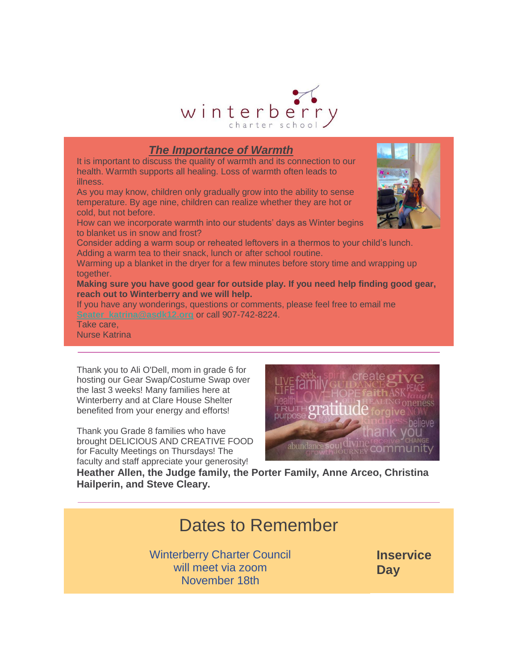

### *The Importance of Warmth*

It is important to discuss the quality of warmth and its connection to our health. Warmth supports all healing. Loss of warmth often leads to illness.

As you may know, children only gradually grow into the ability to sense temperature. By age nine, children can realize whether they are hot or cold, but not before.

How can we incorporate warmth into our students' days as Winter begins to blanket us in snow and frost?

Consider adding a warm soup or reheated leftovers in a thermos to your child's lunch. Adding a warm tea to their snack, lunch or after school routine.

Warming up a blanket in the dryer for a few minutes before story time and wrapping up together.

**Making sure you have good gear for outside play. If you need help finding good gear, reach out to Winterberry and we will help.**

If you have any wonderings, questions or comments, please feel free to email me **[Seater\\_katrina@asdk12.org](mailto:Seater_katrina@asdk12.org)** or call 907-742-8224.

Take care, Nurse Katrina

Thank you to Ali O'Dell, mom in grade 6 for hosting our Gear Swap/Costume Swap over the last 3 weeks! Many families here at Winterberry and at Clare House Shelter benefited from your energy and efforts!

Thank you Grade 8 families who have brought DELICIOUS AND CREATIVE FOOD for Faculty Meetings on Thursdays! The faculty and staff appreciate your generosity!



**Heather Allen, the Judge family, the Porter Family, Anne Arceo, Christina Hailperin, and Steve Cleary.**

# Dates to Remember

Winterberry Charter Council will meet via zoom November 18th

**Inservice Day**

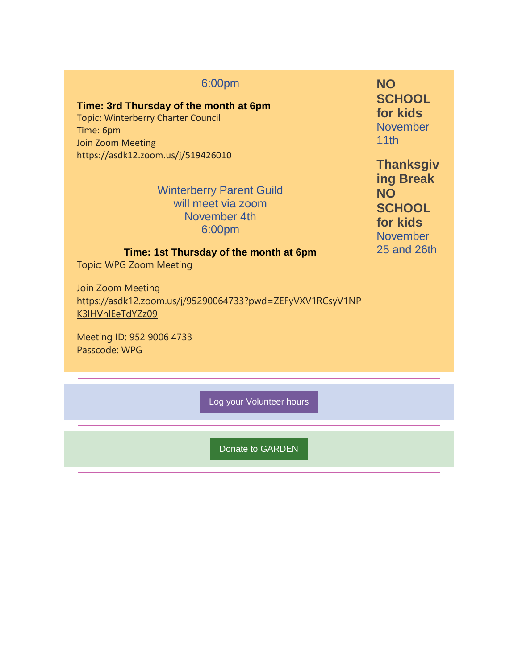### 6:00pm

#### **Time: 3rd Thursday of the month at 6pm**

Topic: Winterberry Charter Council Time: 6pm Join Zoom Meeting [https://asdk12.zoom.us/j/519426010](https://nam12.safelinks.protection.outlook.com/?url=https%3A%2F%2Fr20.rs6.net%2Ftn.jsp%3Ff%3D001Gf5KhV2P-i_wYqJVbJomTFxetajeueSV3pMqV_hAt44KjC6pLzcIOBhM8hvNd-XquWJ3IdrEAPk3poWJN9MwqWl_KD751oOtjCy5Z8TOOpF8gkKsIyMwVgncpdx9_8FZ1VZw7b7od1aKRduy3mQlbDkLlYZmPAJ2MVVxL3cGUxy-s2lXak3Nd2zcwHemNtQXaI7ZnFqOgaLWiApn5KU0kZGiGRNhQyAX6aG-WAi5Tiuq72VlCBwTdfsDrh7MihbjUU_hYjXyiD94VMzMixmYJpanaRmCVuOECfegWdtWd2B607EZqCvT18OLxfPc_5xyKWek9_VTDr5I8ApHvDxlybFUaNlKHjRylb0GoGBhuno_1-CFgXlsTq7uVsHj1BtN3nphElReKAOfyk61RtZqMYiEboiNLx2DP6MiBeNYvXx5IK_Yyz2z4LDWYuN8W3SionSYnyTKK2wivn28cxOrfOPVfcD5nF5fAwznPT-blHGq3MIbkATXmuLT1vBrVNjgND3RSS7zSmQiwwWa5yD-fcZb9xsLCCn5a2rpuas_H-nQxlZmUK5ZWGLCueG_oE__AOoRoUVJ-aKSLpqGo13vxl7HTLEjilNHNbAWPJqgNEKUQtnWxS0nr0oLdwIjjZCChszQAp3kHF03b8LxYj1EUgsfL_TZv0LbW9DBuMe6gdDSCTeB9IZqqOg_FJ279UsvG1IZpeD_A_RPFP7FLuBAGQ%3D%3D%26c%3DwZyuIO66lTYBsDHSmFMaUBN286iwg9Nk6HuZeEZweE3D4SLbCn9NNQ%3D%3D%26ch%3DbU_hr3rW3D3812jrcPsJ6o8LlAsPBij2Elj_RDXGI6cJq1zBXFSnhg%3D%3D&data=04%7C01%7Cgarrels_shana%40asdk12.org%7C5131d74eccfa4387310008d99a562be2%7C036ce601e95a4e46a3bd6b742ed4bb35%7C0%7C0%7C637710517174600452%7CUnknown%7CTWFpbGZsb3d8eyJWIjoiMC4wLjAwMDAiLCJQIjoiV2luMzIiLCJBTiI6Ik1haWwiLCJXVCI6Mn0%3D%7C1000&sdata=03TafrgsUBRYj1BvJPIWfkGQcCK3FEzLMAo87StVK2I%3D&reserved=0)

> Winterberry Parent Guild will meet via zoom November 4th 6:00pm

**NO SCHOOL for kids** November 11th

**Thanksgiv ing Break NO SCHOOL for kids** November 25 and 26th

## **Time: 1st Thursday of the month at 6pm**

Topic: WPG Zoom Meeting

Join Zoom Meeting [https://asdk12.zoom.us/j/95290064733?pwd=ZEFyVXV1RCsyV1NP](https://nam12.safelinks.protection.outlook.com/?url=https%3A%2F%2Fr20.rs6.net%2Ftn.jsp%3Ff%3D001Gf5KhV2P-i_wYqJVbJomTFxetajeueSV3pMqV_hAt44KjC6pLzcIOBhM8hvNd-Xqa8h_DPiqu9QBLcZI18P3AJdK2tw50TmPcQt5auBWJdNiux2qv9Y0c7QTdVmDaVa5PdID4uqcxUwW3E8UmbYoQUQ6EGzIjZLBzuW9uIU6FHM6dqGxaUA9GmHAlxDj4kFSlDd9kRriFnZkWYjhrZMWQSzMPTuZVploQqnmqZ5j8MO005-aRFV-63e-8-QlH3IOfR6nUO9y7GNVsQCXTJ4nPoLw1svuBLZ9ktQSMXD0PdlEvthVp9dyAVEukIi9OxwC_7c3hIdSQcU8KCEPUvNbCmmCNMv5EPPFCH1-OqOyZ8MaJ_A8p5L7s5uspuAFMP_aF3hIL85mzoEKVPM7Fd-sIhsuDMUVkbwkrpl_SofIzdlKDrftyyTIIJQhkTnaW9L-10WFvEIjj1wkLQkvRdMVdv5aWIc7fwcwQiZVFG-bXWdUe6wRWVqfjvpGVflJgMqiku6WEYfq8uyEdbXOnO8RcM9Ydn6SETIBAadKGtc2HDbzOQKdWSUuxloZjdwfP81LBFnEC679AKmKJEtr_9k0X2uk6_y6FhxsfxmJBYLT4uA1ZAEiL1hrtHl2d99p1Gaq5KtVUtjjForL5aSfU5uqLmfFfw-KWQH4uJKK7Xc-jKOW5PkQWuC-gQgUNmZp_4iiwtRL8zR79J1O-CW5v61Y7ELVxdvXn9oDIyL3me3OzHJqJ1P8TXQDbSqRizjPhKTXrTrOYUJxzj_7hCUvOn7vtQ%3D%3D%26c%3DwZyuIO66lTYBsDHSmFMaUBN286iwg9Nk6HuZeEZweE3D4SLbCn9NNQ%3D%3D%26ch%3DbU_hr3rW3D3812jrcPsJ6o8LlAsPBij2Elj_RDXGI6cJq1zBXFSnhg%3D%3D&data=04%7C01%7Cgarrels_shana%40asdk12.org%7C5131d74eccfa4387310008d99a562be2%7C036ce601e95a4e46a3bd6b742ed4bb35%7C0%7C0%7C637710517174610407%7CUnknown%7CTWFpbGZsb3d8eyJWIjoiMC4wLjAwMDAiLCJQIjoiV2luMzIiLCJBTiI6Ik1haWwiLCJXVCI6Mn0%3D%7C1000&sdata=YKZWtIIVcyDodWwMcD9FkrifjeB1Ws9E8ZdMBlqJx44%3D&reserved=0) [K3lHVnlEeTdYZz09](https://nam12.safelinks.protection.outlook.com/?url=https%3A%2F%2Fr20.rs6.net%2Ftn.jsp%3Ff%3D001Gf5KhV2P-i_wYqJVbJomTFxetajeueSV3pMqV_hAt44KjC6pLzcIOBhM8hvNd-Xqa8h_DPiqu9QBLcZI18P3AJdK2tw50TmPcQt5auBWJdNiux2qv9Y0c7QTdVmDaVa5PdID4uqcxUwW3E8UmbYoQUQ6EGzIjZLBzuW9uIU6FHM6dqGxaUA9GmHAlxDj4kFSlDd9kRriFnZkWYjhrZMWQSzMPTuZVploQqnmqZ5j8MO005-aRFV-63e-8-QlH3IOfR6nUO9y7GNVsQCXTJ4nPoLw1svuBLZ9ktQSMXD0PdlEvthVp9dyAVEukIi9OxwC_7c3hIdSQcU8KCEPUvNbCmmCNMv5EPPFCH1-OqOyZ8MaJ_A8p5L7s5uspuAFMP_aF3hIL85mzoEKVPM7Fd-sIhsuDMUVkbwkrpl_SofIzdlKDrftyyTIIJQhkTnaW9L-10WFvEIjj1wkLQkvRdMVdv5aWIc7fwcwQiZVFG-bXWdUe6wRWVqfjvpGVflJgMqiku6WEYfq8uyEdbXOnO8RcM9Ydn6SETIBAadKGtc2HDbzOQKdWSUuxloZjdwfP81LBFnEC679AKmKJEtr_9k0X2uk6_y6FhxsfxmJBYLT4uA1ZAEiL1hrtHl2d99p1Gaq5KtVUtjjForL5aSfU5uqLmfFfw-KWQH4uJKK7Xc-jKOW5PkQWuC-gQgUNmZp_4iiwtRL8zR79J1O-CW5v61Y7ELVxdvXn9oDIyL3me3OzHJqJ1P8TXQDbSqRizjPhKTXrTrOYUJxzj_7hCUvOn7vtQ%3D%3D%26c%3DwZyuIO66lTYBsDHSmFMaUBN286iwg9Nk6HuZeEZweE3D4SLbCn9NNQ%3D%3D%26ch%3DbU_hr3rW3D3812jrcPsJ6o8LlAsPBij2Elj_RDXGI6cJq1zBXFSnhg%3D%3D&data=04%7C01%7Cgarrels_shana%40asdk12.org%7C5131d74eccfa4387310008d99a562be2%7C036ce601e95a4e46a3bd6b742ed4bb35%7C0%7C0%7C637710517174610407%7CUnknown%7CTWFpbGZsb3d8eyJWIjoiMC4wLjAwMDAiLCJQIjoiV2luMzIiLCJBTiI6Ik1haWwiLCJXVCI6Mn0%3D%7C1000&sdata=YKZWtIIVcyDodWwMcD9FkrifjeB1Ws9E8ZdMBlqJx44%3D&reserved=0)

Meeting ID: 952 9006 4733 Passcode: WPG

[Log your Volunteer hours](https://nam12.safelinks.protection.outlook.com/?url=https%3A%2F%2Fr20.rs6.net%2Ftn.jsp%3Ff%3D001Gf5KhV2P-i_wYqJVbJomTFxetajeueSV3pMqV_hAt44KjC6pLzcIOJERyZ2IrQBwlJmhX6K5ZFXqh5Nri0RLeyDKxaJ8ZhVYCmCtbz8pECtq6INLRFFgK1q4Chz6Cn4t5zxK_HAf-xE-h9PC70mS4R2T9ERUzYG7Lgc7WpjWLyK-llhJoqk_O89iEYUSdjQyVDsOy-TfPdhLZ8qkpYtZABFi5D_2UsWQHLbqnlrBqt775azGkquPVgZ4HIRuUxtoNVOEwtgxaU-_C6p02If4fQ%3D%3D%26c%3DwZyuIO66lTYBsDHSmFMaUBN286iwg9Nk6HuZeEZweE3D4SLbCn9NNQ%3D%3D%26ch%3DbU_hr3rW3D3812jrcPsJ6o8LlAsPBij2Elj_RDXGI6cJq1zBXFSnhg%3D%3D&data=04%7C01%7Cgarrels_shana%40asdk12.org%7C5131d74eccfa4387310008d99a562be2%7C036ce601e95a4e46a3bd6b742ed4bb35%7C0%7C0%7C637710517174610407%7CUnknown%7CTWFpbGZsb3d8eyJWIjoiMC4wLjAwMDAiLCJQIjoiV2luMzIiLCJBTiI6Ik1haWwiLCJXVCI6Mn0%3D%7C1000&sdata=UjbmZkB5kdYuKzi542bCzAoIoi8Hf%2Beqd74ELktPOws%3D&reserved=0)

[Donate to GARDEN](https://nam12.safelinks.protection.outlook.com/?url=https%3A%2F%2Fr20.rs6.net%2Ftn.jsp%3Ff%3D001Gf5KhV2P-i_wYqJVbJomTFxetajeueSV3pMqV_hAt44KjC6pLzcIOERA8VCq6DAK4_5DdaePu3XttnHMD0AiCJBbuY8YJR2U19qNLB8Ckzzcaz-64lcLgyB5Pqz9SqttpL9cYdgIoq7uI6pyELE7lURMpB-kPfu5CPIrcIuvdoZh9zlvkGxzncTQc3u3XNMV0Qu7iCEF4O984te6l7l2cX9DIorj0M7N%26c%3DwZyuIO66lTYBsDHSmFMaUBN286iwg9Nk6HuZeEZweE3D4SLbCn9NNQ%3D%3D%26ch%3DbU_hr3rW3D3812jrcPsJ6o8LlAsPBij2Elj_RDXGI6cJq1zBXFSnhg%3D%3D&data=04%7C01%7Cgarrels_shana%40asdk12.org%7C5131d74eccfa4387310008d99a562be2%7C036ce601e95a4e46a3bd6b742ed4bb35%7C0%7C0%7C637710517174620361%7CUnknown%7CTWFpbGZsb3d8eyJWIjoiMC4wLjAwMDAiLCJQIjoiV2luMzIiLCJBTiI6Ik1haWwiLCJXVCI6Mn0%3D%7C1000&sdata=VtJiiUcOr31J1woTbhuCB3DJoW9tD%2F4iKgO5WgMDdSc%3D&reserved=0)